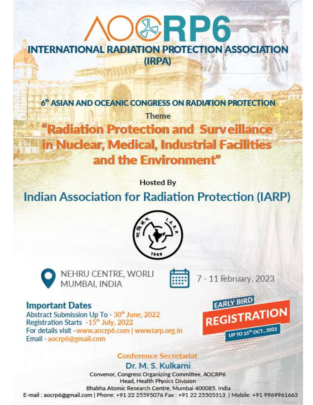# **SRP6 INTERNATIONAL RADIATION PROTECTION ASSOCIATION** (IRPA)

6<sup>th</sup> ASIAN AND OCEANIC CONGRESS ON RADIATION PROTECTION

**Theme** "Radiation Protection and Surveillance in Nuclear, Medical, Industrial Facilities and the Environment"

**Hosted By** 

## **Indian Association for Radiation Protection (IARP)**





NEHRU CENTRE, WORLI MUMBAI, INDIA

7 - 11 February, 2023

## **Important Dates**

Abstract Submission Up To - 30<sup>th</sup> June, 2022 Registration Starts - 15<sup>th</sup> July, 2022 For details visit - www.aocrp6.com | www.iarp.org.in Email - aocrp6@gmail.com

## **Conference Secretariat**

**REGISTRATION** UP TO 15" OCT., 2022

Dr. M. S. Kulkarni

Convenor, Congress Organizing Committee, AOCRP6 Head, Health Physics Division Bhabha Atomic Research Centre, Mumbai 400085, India E-mail: aocrp6@gmail.com | Phone: +91 22 25595076 Fax: +91 22 25505313 | Mobile: +91 9969961663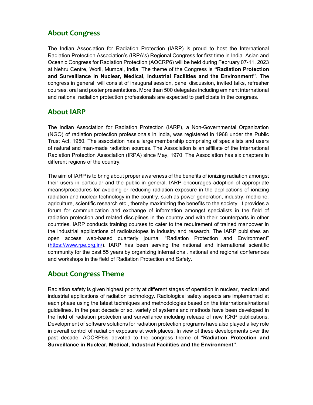## About Congress

The Indian Association for Radiation Protection (IARP) is proud to host the International Radiation Protection Association's (IRPA's) Regional Congress for first time in India. Asian and Oceanic Congress for Radiation Protection (AOCRP6) will be held during February 07-11, 2023 at Nehru Centre, Worli, Mumbai, India. The theme of the Congress is "Radiation Protection and Surveillance in Nuclear, Medical, Industrial Facilities and the Environment". The congress in general, will consist of inaugural session, panel discussion, invited talks, refresher courses, oral and poster presentations. More than 500 delegates including eminent international and national radiation protection professionals are expected to participate in the congress.

## About IARP

The Indian Association for Radiation Protection (IARP), a Non-Governmental Organization (NGO) of radiation protection professionals in India, was registered in 1968 under the Public Trust Act, 1950. The association has a large membership comprising of specialists and users of natural and man-made radiation sources. The Association is an affiliate of the International Radiation Protection Association (IRPA) since May, 1970. The Association has six chapters in different regions of the country.

The aim of IARP is to bring about proper awareness of the benefits of ionizing radiation amongst their users in particular and the public in general. IARP encourages adoption of appropriate means/procedures for avoiding or reducing radiation exposure in the applications of ionizing radiation and nuclear technology in the country, such as power generation, industry, medicine, agriculture, scientific research etc., thereby maximizing the benefits to the society. It provides a forum for communication and exchange of information amongst specialists in the field of radiation protection and related disciplines in the country and with their counterparts in other countries. IARP conducts training courses to cater to the requirement of trained manpower in the industrial applications of radioisotopes in industry and research. The IARP publishes an open access web-based quarterly journal "Radiation Protection and Environment" (https://www.rpe.org.in/). IARP has been serving the national and international scientific community for the past 55 years by organizing international, national and regional conferences and workshops in the field of Radiation Protection and Safety.

## About Congress Theme

Radiation safety is given highest priority at different stages of operation in nuclear, medical and industrial applications of radiation technology. Radiological safety aspects are implemented at each phase using the latest techniques and methodologies based on the international/national guidelines. In the past decade or so, variety of systems and methods have been developed in the field of radiation protection and surveillance including release of new ICRP publications. Development of software solutions for radiation protection programs have also played a key role in overall control of radiation exposure at work places. In view of these developments over the past decade, AOCRP6is devoted to the congress theme of "Radiation Protection and Surveillance in Nuclear, Medical, Industrial Facilities and the Environment".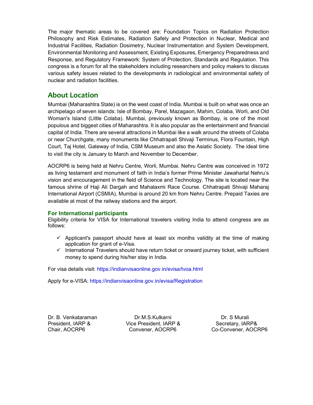The major thematic areas to be covered are: Foundation Topics on Radiation Protection Philosophy and Risk Estimates, Radiation Safety and Protection in Nuclear, Medical and Industrial Facilities, Radiation Dosimetry, Nuclear Instrumentation and System Development, Environmental Monitoring and Assessment, Existing Exposures, Emergency Preparedness and Response, and Regulatory Framework: System of Protection, Standards and Regulation. This congress is a forum for all the stakeholders including researchers and policy makers to discuss various safety issues related to the developments in radiological and environmental safety of nuclear and radiation facilities.

## About Location

Mumbai (Maharashtra State) is on the west coast of India. Mumbai is built on what was once an archipelago of seven islands: Isle of Bombay, Parel, Mazagaon, Mahim, Colaba, Worli, and Old Woman's Island (Little Colaba). Mumbai, previously known as Bombay, is one of the most populous and biggest cities of Maharashtra. It is also popular as the entertainment and financial capital of India. There are several attractions in Mumbai like a walk around the streets of Colaba or near Churchgate, many monuments like Chhatrapati Shivaji Terminus, Flora Fountain, High Court, Taj Hotel, Gateway of India, CSM Museum and also the Asiatic Society. The ideal time to visit the city is January to March and November to December.

AOCRP6 is being held at Nehru Centre, Worli, Mumbai. Nehru Centre was conceived in 1972 as living testament and monument of faith in India's former Prime Minister Jawaharlal Nehru's vision and encouragement in the field of Science and Technology. The site is located near the famous shrine of Haji Ali Dargah and Mahalaxmi Race Course. Chhatrapati Shivaji Maharaj International Airport (CSMIA), Mumbai is around 20 km from Nehru Centre. Prepaid Taxies are available at most of the railway stations and the airport.

#### For International participants

Eligibility criteria for VISA for International travelers visiting India to attend congress are as follows:

- $\checkmark$  Applicant's passport should have at least six months validity at the time of making application for grant of e-Visa.
- $\checkmark$  International Travelers should have return ticket or onward journey ticket, with sufficient money to spend during his/her stay in India.

For visa details visit: https://indianvisaonline.gov.in/evisa/tvoa.html

Apply for e-VISA: https://indianvisaonline.gov.in/evisa/Registration

Dr. B. Venkataraman Dr.M.S.Kulkarni Dr. S Murali President, IARP & Vice President, IARP & Secretary, IARP&

Chair, AOCRP6 Convener, AOCRP6 Co-Convener, AOCRP6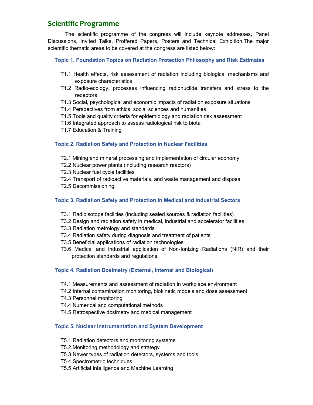## Scientific Programme

The scientific programme of the congress will include keynote addresses, Panel Discussions, Invited Talks, Proffered Papers, Posters and Technical Exhibition.The major scientific thematic areas to be covered at the congress are listed below:

#### Topic 1. Foundation Topics on Radiation Protection Philosophy and Risk Estimates

- T1.1 Health effects, risk assessment of radiation including biological mechanisms and exposure characteristics
- T1.2 Radio-ecology, processes influencing radionuclide transfers and stress to the receptors
- T1.3 Social, psychological and economic impacts of radiation exposure situations
- T1.4 Perspectives from ethics, social sciences and humanities
- T1.5 Tools and quality criteria for epidemiology and radiation risk assessment
- T1.6 Integrated approach to assess radiological risk to biota
- T1.7 Education & Training

#### Topic 2. Radiation Safety and Protection in Nuclear Facilities

- T2.1 Mining and mineral processing and implementation of circular economy
- T2.2 Nuclear power plants (including research reactors)
- T2.3 Nuclear fuel cycle facilities
- T2.4 Transport of radioactive materials, and waste management and disposal
- T2.5 Decommissioning

#### Topic 3. Radiation Safety and Protection in Medical and Industrial Sectors

- T3.1 Radioisotope facilities (including sealed sources & radiation facilities)
- T3.2 Design and radiation safety in medical, industrial and accelerator facilities
- T3.3 Radiation metrology and standards
- T3.4 Radiation safety during diagnosis and treatment of patients
- T3.5 Beneficial applications of radiation technologies
- T3.6 Medical and industrial application of Non-Ionizing Radiations (NIR) and their protection standards and regulations.

#### Topic 4. Radiation Dosimetry (External, Internal and Biological)

- T4.1 Measurements and assessment of radiation in workplace environment
- T4.2 Internal contamination monitoring, biokinetic models and dose assessment
- T4.3 Personnel monitoring
- T4.4 Numerical and computational methods
- T4.5 Retrospective dosimetry and medical management

#### Topic 5. Nuclear Instrumentation and System Development

- T5.1 Radiation detectors and monitoring systems
- T5.2 Monitoring methodology and strategy
- T5.3 Newer types of radiation detectors, systems and tools
- T5.4 Spectrometric techniques
- T5.5 Artificial Intelligence and Machine Learning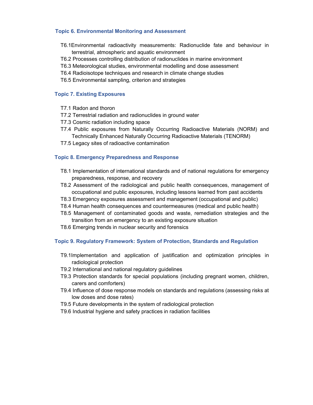#### Topic 6. Environmental Monitoring and Assessment

- T6.1Environmental radioactivity measurements: Radionuclide fate and behaviour in terrestrial, atmospheric and aquatic environment
- T6.2 Processes controlling distribution of radionuclides in marine environment
- T6.3 Meteorological studies, environmental modelling and dose assessment
- T6.4 Radioisotope techniques and research in climate change studies
- T6.5 Environmental sampling, criterion and strategies

#### Topic 7. Existing Exposures

- T7.1 Radon and thoron
- T7.2 Terrestrial radiation and radionuclides in ground water
- T7.3 Cosmic radiation including space
- T7.4 Public exposures from Naturally Occurring Radioactive Materials (NORM) and Technically Enhanced Naturally Occurring Radioactive Materials (TENORM)
- T7.5 Legacy sites of radioactive contamination

#### Topic 8. Emergency Preparedness and Response

- T8.1 Implementation of international standards and of national regulations for emergency preparedness, response, and recovery
- T8.2 Assessment of the radiological and public health consequences, management of occupational and public exposures, including lessons learned from past accidents
- T8.3 Emergency exposures assessment and management (occupational and public)
- T8.4 Human health consequences and countermeasures (medical and public health)
- T8.5 Management of contaminated goods and waste, remediation strategies and the transition from an emergency to an existing exposure situation
- T8.6 Emerging trends in nuclear security and forensics

#### Topic 9. Regulatory Framework: System of Protection, Standards and Regulation

- T9.1Implementation and application of justification and optimization principles in radiological protection
- T9.2 International and national regulatory guidelines
- T9.3 Protection standards for special populations (including pregnant women, children, carers and comforters)
- T9.4 Influence of dose response models on standards and regulations (assessing risks at low doses and dose rates)
- T9.5 Future developments in the system of radiological protection
- T9.6 Industrial hygiene and safety practices in radiation facilities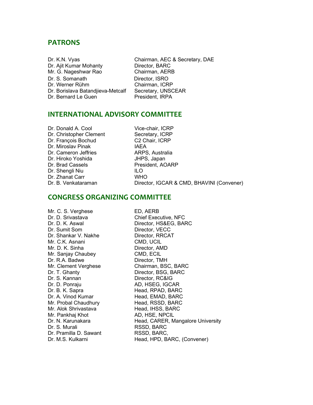#### PATRONS

| Chai<br>Dr. K.N. Vyas             |       |
|-----------------------------------|-------|
| Dr. Ajit Kumar Mohanty            | Direo |
| Mr. G. Nageshwar Rao              | Chai  |
| Dr. S. Somanath                   | Direc |
| Dr. Werner Rühm                   | Chai  |
| Dr. Borislava Batandjieva-Metcalf | Secr  |
| Dr. Bernard Le Guen               | Pres  |

rman, AEC & Secretary, DAE ctor, BARC rman, AERB tor, ISRO rman, ICRP etary, UNSCEAR ident, IRPA

#### INTERNATIONAL ADVISORY COMMITTEE

| Vice-chair, ICRP |
|------------------|
| Secretary, ICRP  |
| C2 Chair, ICRP   |
| <b>IAEA</b>      |
| ARPS, Australia  |
| JHPS, Japan      |
| President, AOAR  |
| ILO              |
| <b>WHO</b>       |
| Director, IGCAR  |
|                  |

Secretary, ICRP C2 Chair, ICRP **IAEA** ARPS, Australia JHPS, Japan President, AOARP WHO Director, IGCAR & CMD, BHAVINI (Convener)

### CONGRESS ORGANIZING COMMITTEE

Mr. C. S. Verghese ED, AERB Dr. D. Srivastava Chief Executive, NFC Dr. Sumit Som Director, VECC Dr. Shankar V. Nakhe Director, RRCAT Mr. C.K. Asnani CMD, UCIL Mr. D. K. Sinha Director, AMD Mr. Sanjay Chaubey CMD, ECIL Dr. R.A. Badwe Director, TMH Dr. T. Ghanty Director, BSG, BARC Dr. S. Kannan Director, RC&IG Dr. D. Ponraju AD, HSEG, IGCAR Dr. B. K. Sapra Head, RPAD, BARC Dr. A. Vinod Kumar Head, EMAD, BARC Mr. Probal Chaudhury Head, RSSD, BARC Mr. Alok Shrivastava Head, IHSS, BARC Mr. Pankhaj Khot AD, HSE, NPCIL Dr. S. Murali RSSD, BARC Dr. Pramilla D. Sawant RSSD, BARC,

Dr. D. K. Aswal Director, HS&EG, BARC Mr. Clement Verghese Chairman, BSC, BARC Dr. N. Karunakara **Head, CARER, Mangalore University** Dr. M.S. Kulkarni Head, HPD, BARC, (Convener)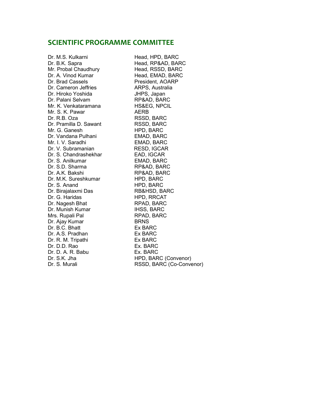#### SCIENTIFIC PROGRAMME COMMITTEE

Mr. Probal Chaudhury Head, RSSD, BARC Dr. A. Vinod Kumar Head, EMAD, BARC Dr. Brad Cassels **President, AOARP** Dr. Cameron Jeffries **ARPS**, Australia Dr. Hiroko Yoshida JHPS, Japan Dr. Palani Selvam RP&AD, BARC Mr. K. Venkataramana **HS&EG, NPCIL** Mr. S. K. Pawar AERB Dr. R.B. Oza RSSD, BARC Dr. Pramilla D. Sawant RSSD, BARC<br>Mr. G. Ganesh HPD, BARC Mr. G. Ganesh Dr. Vandana Pulhani **EMAD, BARC** Mr. I. V. Saradhi **EMAD, BARC** Dr. V. Subramanian RESD, IGCAR Dr. S. Chandrashekhar EAD, IGCAR Dr. S. Anilkumar **EMAD, BARC** Dr. S.D. Sharma RP&AD, BARC Dr. A.K. Bakshi RP&AD, BARC Dr. M.K. Sureshkumar HPD, BARC Dr. S. Anand HPD, BARC Dr. Birajalaxmi Das RB&HSD, BARC Dr. G. Haridas HPD, RRCAT Dr. Nagesh Bhat RPAD, BARC Dr. Munish Kumar **IHSS, BARC** Mrs. Rupali Pal RPAD, BARC Dr. Ajay Kumar BRNS Dr. B.C. Bhatt Ex BARC Dr. A.S. Pradhan Ex BARC Dr. R. M. Tripathi **Ex BARC** Dr. D.D. Rao **Ex. BARC** Dr. D. A. R. Babu Ex. BARC

Dr. M.S. Kulkarni Head, HPD, BARC Dr. B.K. Sapra **Head, RP&AD, BARC** Dr. S.K. Jha **HPD, BARC (Convenor)** Dr. S. Murali **RSSD, BARC (Co-Convenor)**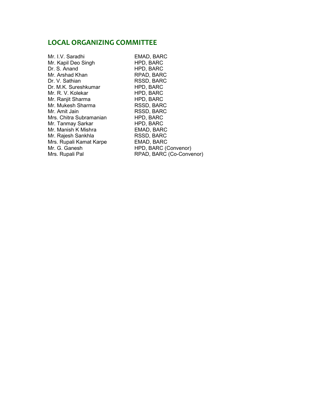### LOCAL ORGANIZING COMMITTEE

Mr. I.V. Saradhi **EMAD, BARC**<br>Mr. Kapil Deo Singh **EMAD, BARC** Mr. Kapil Deo Singh Dr. S. Anand HPD, BARC Mr. Arshad Khan RPAD, BARC Dr. V. Sathian RSSD, BARC Dr. M.K. Sureshkumar HPD, BARC Mr. R. V. Kolekar HPD, BARC Mr. Ranjit Sharma HPD, BARC Mr. Mukesh Sharma RSSD, BARC<br>Mr. Amit Jain RSSD, BARC Mrs. Chitra Subramanian HPD, BARC Mr. Tanmay Sarkar HPD, BARC Mr. Manish K Mishra **EMAD, BARC** Mr. Rajesh Sankhla RSSD, BARC Mrs. Rupali Kamat Karpe EMAD, BARC

RSSD, BARC Mr. G. Ganesh HPD, BARC (Convenor) RPAD, BARC (Co-Convenor)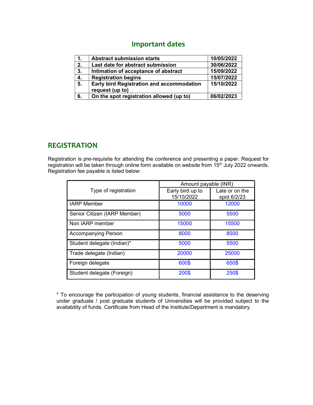## Important dates

| $\mathbf 1$ | <b>Abstract submission starts</b>         | 10/05/2022 |
|-------------|-------------------------------------------|------------|
| 2.          | Last date for abstract submission         | 30/06/2022 |
| 3.          | Intimation of acceptance of abstract      | 15/09/2022 |
| 4.          | <b>Registration begins</b>                | 15/07/2022 |
| 5.          | Early bird Registration and accommodation | 15/10/2022 |
|             | request (up to)                           |            |
| 6.          | On the spot registration allowed (up to)  | 06/02/2023 |

### REGISTRATION

Registration is pre-requisite for attending the conference and presenting a paper. Request for registration will be taken through online form available on website from 15<sup>th</sup> July 2022 onwards. Registration fee payable is listed below:

|                              | Amount payable (INR)           |                               |
|------------------------------|--------------------------------|-------------------------------|
| Type of registration         | Early bird up to<br>15/10/2022 | Late or on the<br>spot 6/2/23 |
| <b>IARP Member</b>           | 10000                          | 12000                         |
| Senior Citizen (IARP Member) | 5000                           | 5500                          |
| Non IARP member              | 15000                          | 15500                         |
| <b>Accompanying Person</b>   | 8000                           | 8500                          |
| Student delegate (Indian)*   | 5000                           | 5500                          |
| Trade delegate (Indian)      | 20000                          | 25000                         |
| Foreign delegate             | 600\$                          | 650\$                         |
| Student delegate (Foreign)   | 200\$                          | 250\$                         |

\* To encourage the participation of young students, financial assistance to the deserving under graduate / post graduate students of Universities will be provided subject to the availability of funds. Certificate from Head of the Institute/Department is mandatory.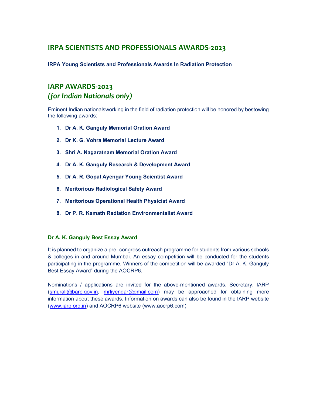## IRPA SCIENTISTS AND PROFESSIONALS AWARDS-2023

IRPA Young Scientists and Professionals Awards In Radiation Protection

## IARP AWARDS-2023 (for Indian Nationals only)

Eminent Indian nationalsworking in the field of radiation protection will be honored by bestowing the following awards:

- 1. Dr A. K. Ganguly Memorial Oration Award
- 2. Dr K. G. Vohra Memorial Lecture Award
- 3. Shri A. Nagaratnam Memorial Oration Award
- 4. Dr A. K. Ganguly Research & Development Award
- 5. Dr A. R. Gopal Ayengar Young Scientist Award
- 6. Meritorious Radiological Safety Award
- 7. Meritorious Operational Health Physicist Award
- 8. Dr P. R. Kamath Radiation Environmentalist Award

#### Dr A. K. Ganguly Best Essay Award

It is planned to organize a pre -congress outreach programme for students from various schools & colleges in and around Mumbai. An essay competition will be conducted for the students participating in the programme. Winners of the competition will be awarded "Dr A. K. Ganguly Best Essay Award" during the AOCRP6.

Nominations / applications are invited for the above-mentioned awards. Secretary, IARP (smurali@barc.gov.in, mrliyengar@gmail.com) may be approached for obtaining more information about these awards. Information on awards can also be found in the IARP website (www.iarp.org.in) and AOCRP6 website (www.aocrp6.com)